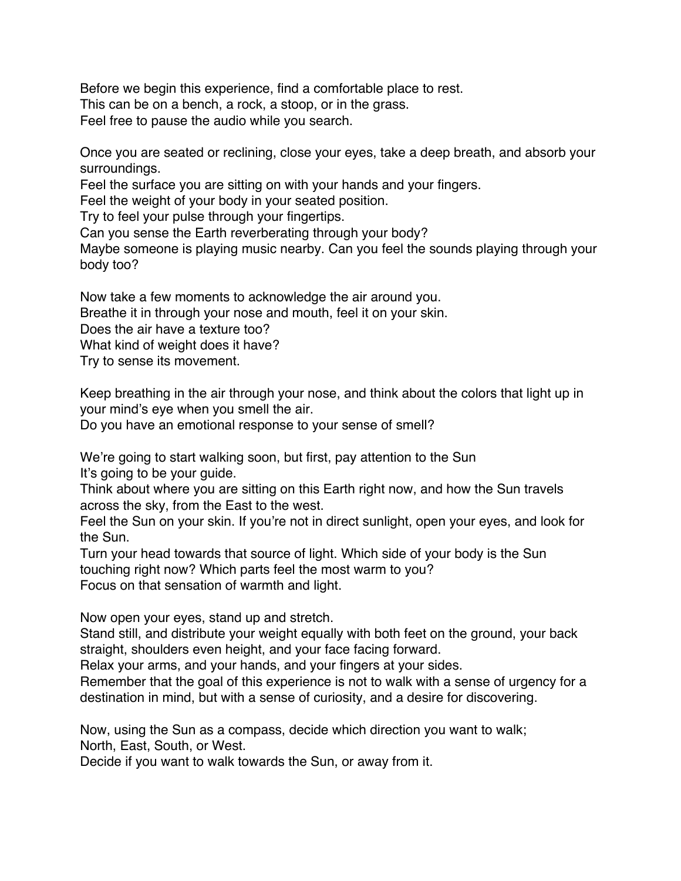Before we begin this experience, find a comfortable place to rest. This can be on a bench, a rock, a stoop, or in the grass. Feel free to pause the audio while you search.

Once you are seated or reclining, close your eyes, take a deep breath, and absorb your surroundings.

Feel the surface you are sitting on with your hands and your fingers.

Feel the weight of your body in your seated position.

Try to feel your pulse through your fingertips.

Can you sense the Earth reverberating through your body?

Maybe someone is playing music nearby. Can you feel the sounds playing through your body too?

Now take a few moments to acknowledge the air around you.

Breathe it in through your nose and mouth, feel it on your skin.

Does the air have a texture too?

What kind of weight does it have?

Try to sense its movement.

Keep breathing in the air through your nose, and think about the colors that light up in your mind's eye when you smell the air.

Do you have an emotional response to your sense of smell?

We're going to start walking soon, but first, pay attention to the Sun It's going to be your guide.

Think about where you are sitting on this Earth right now, and how the Sun travels across the sky, from the East to the west.

Feel the Sun on your skin. If you're not in direct sunlight, open your eyes, and look for the Sun.

Turn your head towards that source of light. Which side of your body is the Sun touching right now? Which parts feel the most warm to you? Focus on that sensation of warmth and light.

Now open your eyes, stand up and stretch.

Stand still, and distribute your weight equally with both feet on the ground, your back straight, shoulders even height, and your face facing forward.

Relax your arms, and your hands, and your fingers at your sides.

Remember that the goal of this experience is not to walk with a sense of urgency for a destination in mind, but with a sense of curiosity, and a desire for discovering.

Now, using the Sun as a compass, decide which direction you want to walk; North, East, South, or West.

Decide if you want to walk towards the Sun, or away from it.